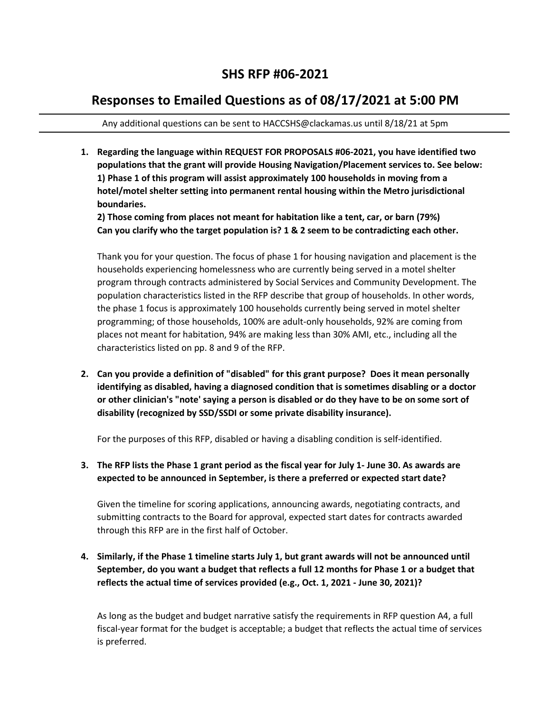## **SHS RFP #06-2021**

## **Responses to Emailed Questions as of 08/17/2021 at 5:00 PM**

Any additional questions can be sent to HACCSHS@clackamas.us until 8/18/21 at 5pm

**1. Regarding the language within REQUEST FOR PROPOSALS #06-2021, you have identified two populations that the grant will provide Housing Navigation/Placement services to. See below: 1) Phase 1 of this program will assist approximately 100 households in moving from a hotel/motel shelter setting into permanent rental housing within the Metro jurisdictional boundaries.**

**2) Those coming from places not meant for habitation like a tent, car, or barn (79%) Can you clarify who the target population is? 1 & 2 seem to be contradicting each other.**

Thank you for your question. The focus of phase 1 for housing navigation and placement is the households experiencing homelessness who are currently being served in a motel shelter program through contracts administered by Social Services and Community Development. The population characteristics listed in the RFP describe that group of households. In other words, the phase 1 focus is approximately 100 households currently being served in motel shelter programming; of those households, 100% are adult-only households, 92% are coming from places not meant for habitation, 94% are making less than 30% AMI, etc., including all the characteristics listed on pp. 8 and 9 of the RFP.

**2. Can you provide a definition of "disabled" for this grant purpose? Does it mean personally identifying as disabled, having a diagnosed condition that is sometimes disabling or a doctor or other clinician's "note' saying a person is disabled or do they have to be on some sort of disability (recognized by SSD/SSDI or some private disability insurance).**

For the purposes of this RFP, disabled or having a disabling condition is self-identified.

**3. The RFP lists the Phase 1 grant period as the fiscal year for July 1- June 30. As awards are expected to be announced in September, is there a preferred or expected start date?**

Given the timeline for scoring applications, announcing awards, negotiating contracts, and submitting contracts to the Board for approval, expected start dates for contracts awarded through this RFP are in the first half of October.

**4. Similarly, if the Phase 1 timeline starts July 1, but grant awards will not be announced until September, do you want a budget that reflects a full 12 months for Phase 1 or a budget that reflects the actual time of services provided (e.g., Oct. 1, 2021 - June 30, 2021)?** 

As long as the budget and budget narrative satisfy the requirements in RFP question A4, a full fiscal-year format for the budget is acceptable; a budget that reflects the actual time of services is preferred.